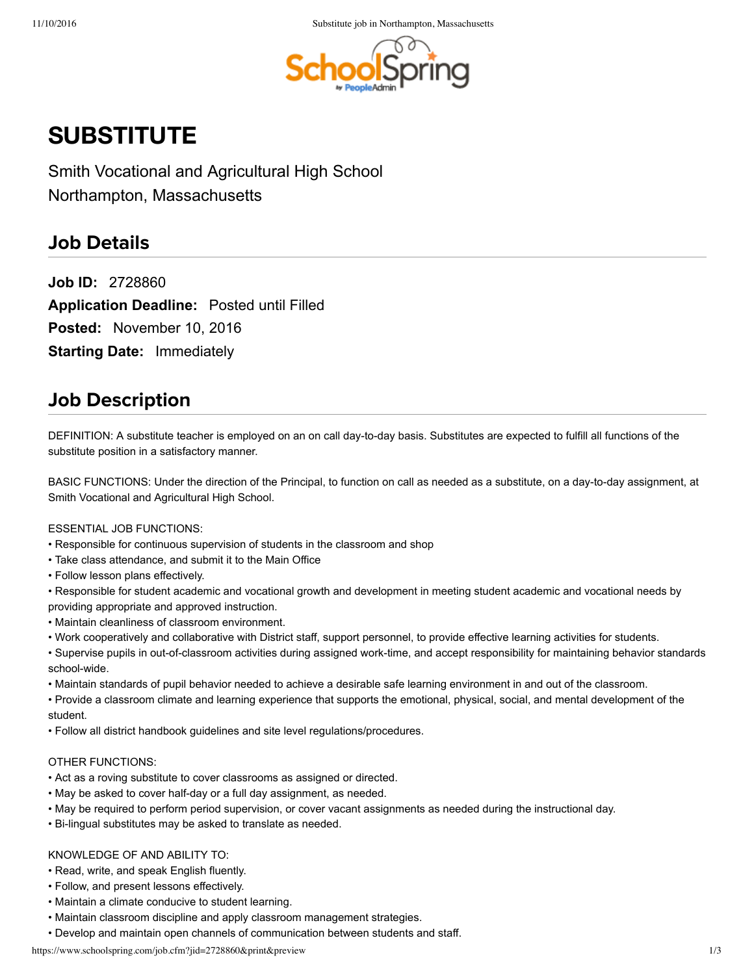

# **SUBSTITUTE**

Smith Vocational and Agricultural High School Northampton, Massachusetts

### **Job Details**

**Job ID:**  2728860 **Application Deadline:** Posted until Filled **Posted:**  November 10, 2016 **Starting Date:** Immediately

# **Job Description**

DEFINITION: A substitute teacher is employed on an on call day-to-day basis. Substitutes are expected to fulfill all functions of the substitute position in a satisfactory manner.

BASIC FUNCTIONS: Under the direction of the Principal, to function on call as needed as a substitute, on a day-to-day assignment, at Smith Vocational and Agricultural High School.

#### ESSENTIAL JOB FUNCTIONS:

- Responsible for continuous supervision of students in the classroom and shop
- Take class attendance, and submit it to the Main Office
- Follow lesson plans effectively.

• Responsible for student academic and vocational growth and development in meeting student academic and vocational needs by providing appropriate and approved instruction.

- Maintain cleanliness of classroom environment.
- Work cooperatively and collaborative with District staff, support personnel, to provide effective learning activities for students.
- Supervise pupils in out-of-classroom activities during assigned work-time, and accept responsibility for maintaining behavior standards school-wide.
- Maintain standards of pupil behavior needed to achieve a desirable safe learning environment in and out of the classroom.

• Provide a classroom climate and learning experience that supports the emotional, physical, social, and mental development of the student.

• Follow all district handbook guidelines and site level regulations/procedures.

#### OTHER FUNCTIONS:

- Act as a roving substitute to cover classrooms as assigned or directed.
- May be asked to cover half-day or a full day assignment, as needed.
- May be required to perform period supervision, or cover vacant assignments as needed during the instructional day.
- Bi-lingual substitutes may be asked to translate as needed.

#### KNOWLEDGE OF AND ABILITY TO:

- Read, write, and speak English fluently.
- Follow, and present lessons effectively.
- Maintain a climate conducive to student learning.
- Maintain classroom discipline and apply classroom management strategies.
- Develop and maintain open channels of communication between students and staff.